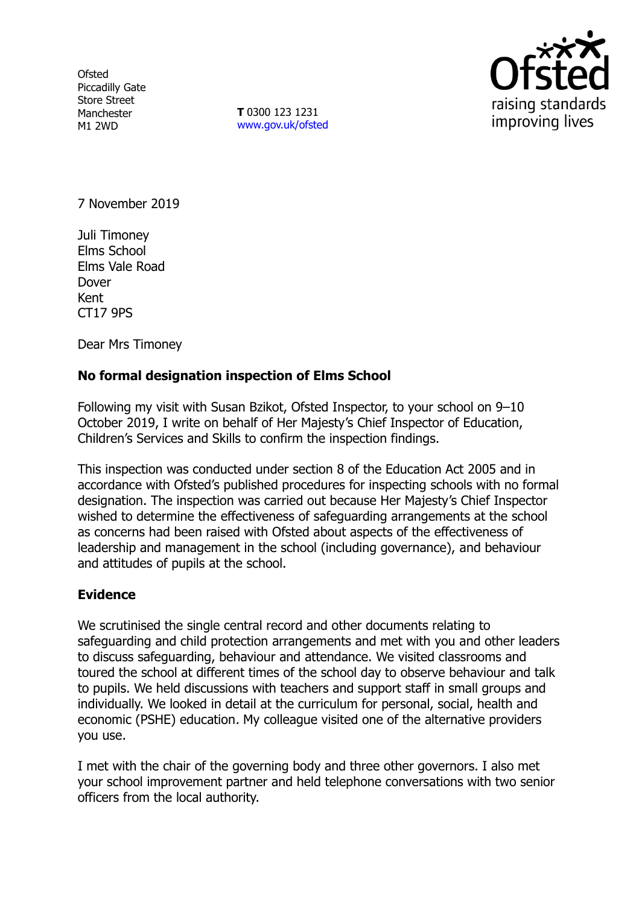**Ofsted** Piccadilly Gate Store Street Manchester M1 2WD

**T** 0300 123 1231 [www.gov.uk/ofsted](http://www.gov.uk/ofsted)



7 November 2019

Juli Timoney Elms School Elms Vale Road Dover Kent CT17 9PS

Dear Mrs Timoney

# **No formal designation inspection of Elms School**

Following my visit with Susan Bzikot, Ofsted Inspector, to your school on 9–10 October 2019, I write on behalf of Her Majesty's Chief Inspector of Education, Children's Services and Skills to confirm the inspection findings.

This inspection was conducted under section 8 of the Education Act 2005 and in accordance with Ofsted's published procedures for inspecting schools with no formal designation. The inspection was carried out because Her Majesty's Chief Inspector wished to determine the effectiveness of safeguarding arrangements at the school as concerns had been raised with Ofsted about aspects of the effectiveness of leadership and management in the school (including governance), and behaviour and attitudes of pupils at the school.

# **Evidence**

We scrutinised the single central record and other documents relating to safeguarding and child protection arrangements and met with you and other leaders to discuss safeguarding, behaviour and attendance. We visited classrooms and toured the school at different times of the school day to observe behaviour and talk to pupils. We held discussions with teachers and support staff in small groups and individually. We looked in detail at the curriculum for personal, social, health and economic (PSHE) education. My colleague visited one of the alternative providers you use.

I met with the chair of the governing body and three other governors. I also met your school improvement partner and held telephone conversations with two senior officers from the local authority.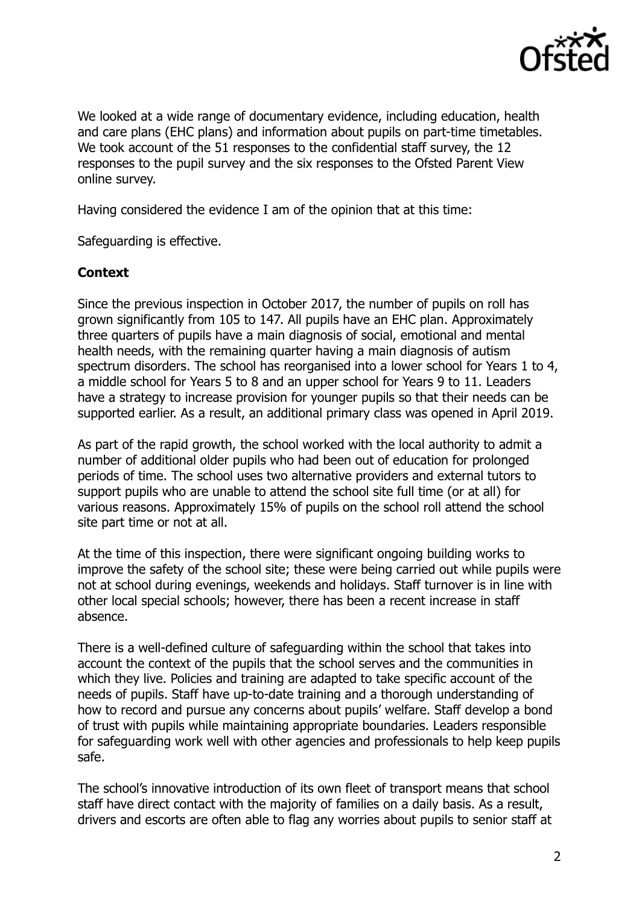

We looked at a wide range of documentary evidence, including education, health and care plans (EHC plans) and information about pupils on part-time timetables. We took account of the 51 responses to the confidential staff survey, the 12 responses to the pupil survey and the six responses to the Ofsted Parent View online survey.

Having considered the evidence I am of the opinion that at this time:

Safeguarding is effective.

# **Context**

Since the previous inspection in October 2017, the number of pupils on roll has grown significantly from 105 to 147. All pupils have an EHC plan. Approximately three quarters of pupils have a main diagnosis of social, emotional and mental health needs, with the remaining quarter having a main diagnosis of autism spectrum disorders. The school has reorganised into a lower school for Years 1 to 4, a middle school for Years 5 to 8 and an upper school for Years 9 to 11. Leaders have a strategy to increase provision for younger pupils so that their needs can be supported earlier. As a result, an additional primary class was opened in April 2019.

As part of the rapid growth, the school worked with the local authority to admit a number of additional older pupils who had been out of education for prolonged periods of time. The school uses two alternative providers and external tutors to support pupils who are unable to attend the school site full time (or at all) for various reasons. Approximately 15% of pupils on the school roll attend the school site part time or not at all.

At the time of this inspection, there were significant ongoing building works to improve the safety of the school site; these were being carried out while pupils were not at school during evenings, weekends and holidays. Staff turnover is in line with other local special schools; however, there has been a recent increase in staff absence.

There is a well-defined culture of safeguarding within the school that takes into account the context of the pupils that the school serves and the communities in which they live. Policies and training are adapted to take specific account of the needs of pupils. Staff have up-to-date training and a thorough understanding of how to record and pursue any concerns about pupils' welfare. Staff develop a bond of trust with pupils while maintaining appropriate boundaries. Leaders responsible for safeguarding work well with other agencies and professionals to help keep pupils safe.

The school's innovative introduction of its own fleet of transport means that school staff have direct contact with the majority of families on a daily basis. As a result, drivers and escorts are often able to flag any worries about pupils to senior staff at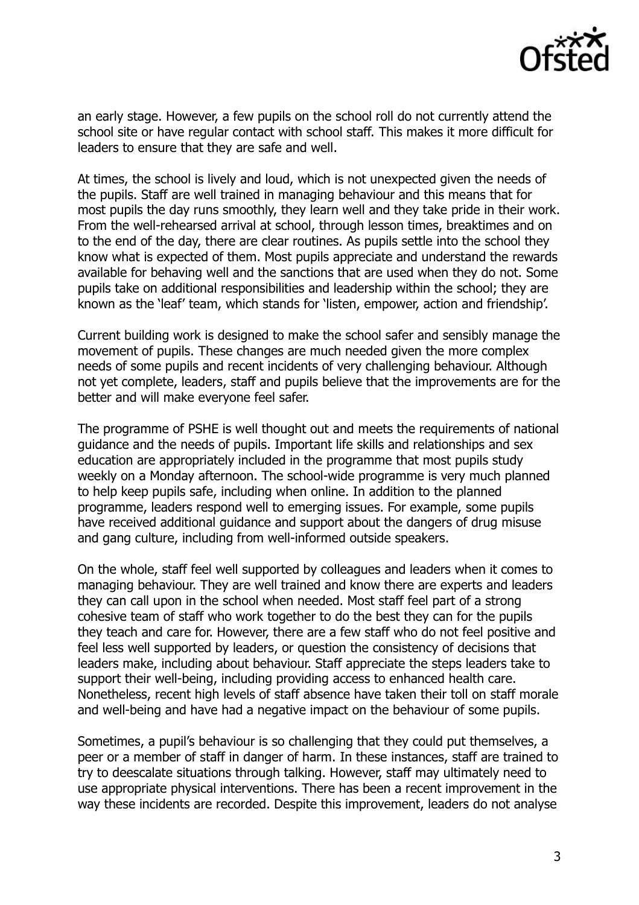

an early stage. However, a few pupils on the school roll do not currently attend the school site or have regular contact with school staff. This makes it more difficult for leaders to ensure that they are safe and well.

At times, the school is lively and loud, which is not unexpected given the needs of the pupils. Staff are well trained in managing behaviour and this means that for most pupils the day runs smoothly, they learn well and they take pride in their work. From the well-rehearsed arrival at school, through lesson times, breaktimes and on to the end of the day, there are clear routines. As pupils settle into the school they know what is expected of them. Most pupils appreciate and understand the rewards available for behaving well and the sanctions that are used when they do not. Some pupils take on additional responsibilities and leadership within the school; they are known as the 'leaf' team, which stands for 'listen, empower, action and friendship'.

Current building work is designed to make the school safer and sensibly manage the movement of pupils. These changes are much needed given the more complex needs of some pupils and recent incidents of very challenging behaviour. Although not yet complete, leaders, staff and pupils believe that the improvements are for the better and will make everyone feel safer.

The programme of PSHE is well thought out and meets the requirements of national guidance and the needs of pupils. Important life skills and relationships and sex education are appropriately included in the programme that most pupils study weekly on a Monday afternoon. The school-wide programme is very much planned to help keep pupils safe, including when online. In addition to the planned programme, leaders respond well to emerging issues. For example, some pupils have received additional guidance and support about the dangers of drug misuse and gang culture, including from well-informed outside speakers.

On the whole, staff feel well supported by colleagues and leaders when it comes to managing behaviour. They are well trained and know there are experts and leaders they can call upon in the school when needed. Most staff feel part of a strong cohesive team of staff who work together to do the best they can for the pupils they teach and care for. However, there are a few staff who do not feel positive and feel less well supported by leaders, or question the consistency of decisions that leaders make, including about behaviour. Staff appreciate the steps leaders take to support their well-being, including providing access to enhanced health care. Nonetheless, recent high levels of staff absence have taken their toll on staff morale and well-being and have had a negative impact on the behaviour of some pupils.

Sometimes, a pupil's behaviour is so challenging that they could put themselves, a peer or a member of staff in danger of harm. In these instances, staff are trained to try to deescalate situations through talking. However, staff may ultimately need to use appropriate physical interventions. There has been a recent improvement in the way these incidents are recorded. Despite this improvement, leaders do not analyse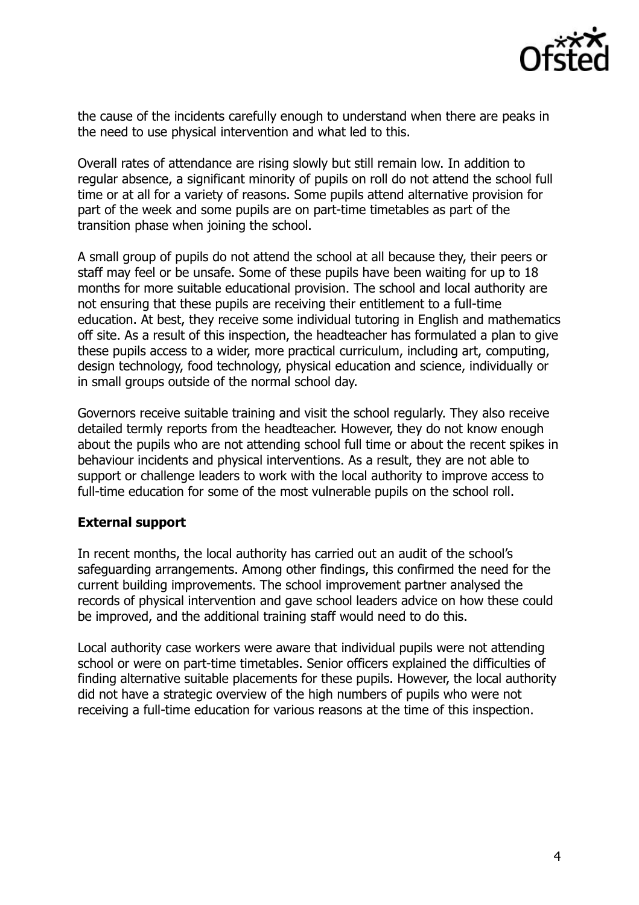

the cause of the incidents carefully enough to understand when there are peaks in the need to use physical intervention and what led to this.

Overall rates of attendance are rising slowly but still remain low. In addition to regular absence, a significant minority of pupils on roll do not attend the school full time or at all for a variety of reasons. Some pupils attend alternative provision for part of the week and some pupils are on part-time timetables as part of the transition phase when joining the school.

A small group of pupils do not attend the school at all because they, their peers or staff may feel or be unsafe. Some of these pupils have been waiting for up to 18 months for more suitable educational provision. The school and local authority are not ensuring that these pupils are receiving their entitlement to a full-time education. At best, they receive some individual tutoring in English and mathematics off site. As a result of this inspection, the headteacher has formulated a plan to give these pupils access to a wider, more practical curriculum, including art, computing, design technology, food technology, physical education and science, individually or in small groups outside of the normal school day.

Governors receive suitable training and visit the school regularly. They also receive detailed termly reports from the headteacher. However, they do not know enough about the pupils who are not attending school full time or about the recent spikes in behaviour incidents and physical interventions. As a result, they are not able to support or challenge leaders to work with the local authority to improve access to full-time education for some of the most vulnerable pupils on the school roll.

# **External support**

In recent months, the local authority has carried out an audit of the school's safeguarding arrangements. Among other findings, this confirmed the need for the current building improvements. The school improvement partner analysed the records of physical intervention and gave school leaders advice on how these could be improved, and the additional training staff would need to do this.

Local authority case workers were aware that individual pupils were not attending school or were on part-time timetables. Senior officers explained the difficulties of finding alternative suitable placements for these pupils. However, the local authority did not have a strategic overview of the high numbers of pupils who were not receiving a full-time education for various reasons at the time of this inspection.